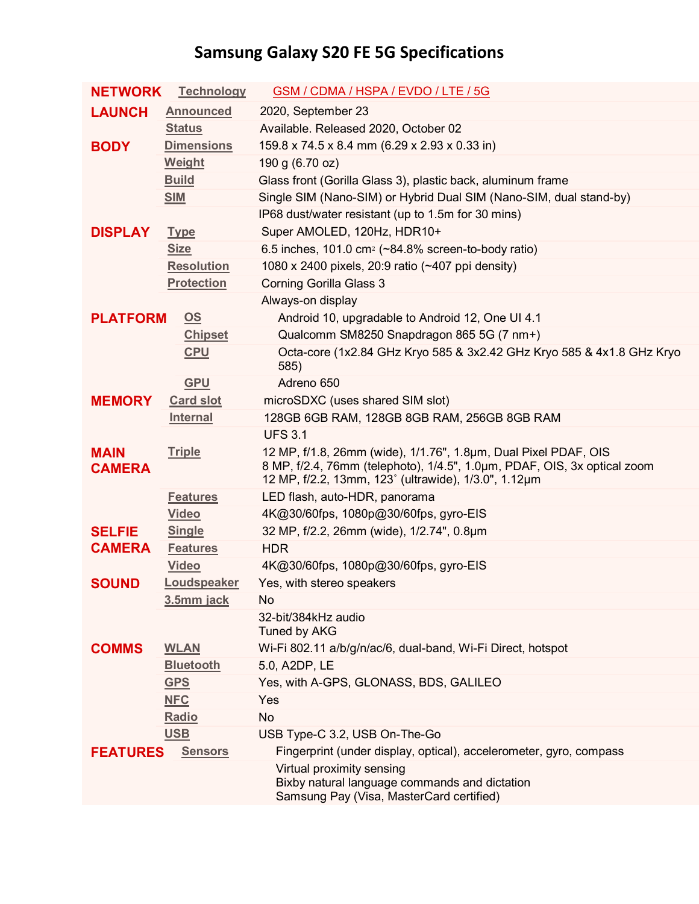## **Samsung Galaxy S20 FE 5G Specifications**

| <b>NETWORK</b>               | <b>Technology</b>         | GSM / CDMA / HSPA / EVDO / LTE / 5G                                                                                                                                                                 |
|------------------------------|---------------------------|-----------------------------------------------------------------------------------------------------------------------------------------------------------------------------------------------------|
| <b>LAUNCH</b>                | <b>Announced</b>          | 2020, September 23                                                                                                                                                                                  |
|                              | <b>Status</b>             | Available. Released 2020, October 02                                                                                                                                                                |
| <b>BODY</b>                  | <b>Dimensions</b>         | 159.8 x 74.5 x 8.4 mm (6.29 x 2.93 x 0.33 in)                                                                                                                                                       |
|                              | <b>Weight</b>             | 190 g (6.70 oz)                                                                                                                                                                                     |
|                              | <b>Build</b>              | Glass front (Gorilla Glass 3), plastic back, aluminum frame                                                                                                                                         |
|                              | <b>SIM</b>                | Single SIM (Nano-SIM) or Hybrid Dual SIM (Nano-SIM, dual stand-by)                                                                                                                                  |
|                              |                           | IP68 dust/water resistant (up to 1.5m for 30 mins)                                                                                                                                                  |
| <b>DISPLAY</b>               | <b>Type</b>               | Super AMOLED, 120Hz, HDR10+                                                                                                                                                                         |
|                              | <b>Size</b>               | 6.5 inches, 101.0 cm <sup>2</sup> ( $\sim$ 84.8% screen-to-body ratio)                                                                                                                              |
|                              | <b>Resolution</b>         | 1080 x 2400 pixels, 20:9 ratio (~407 ppi density)                                                                                                                                                   |
|                              | <b>Protection</b>         | Corning Gorilla Glass 3                                                                                                                                                                             |
|                              |                           | Always-on display                                                                                                                                                                                   |
| <b>PLATFORM</b>              | $\underline{\mathsf{OS}}$ | Android 10, upgradable to Android 12, One UI 4.1                                                                                                                                                    |
|                              | <b>Chipset</b>            | Qualcomm SM8250 Snapdragon 865 5G (7 nm+)                                                                                                                                                           |
|                              | <b>CPU</b>                | Octa-core (1x2.84 GHz Kryo 585 & 3x2.42 GHz Kryo 585 & 4x1.8 GHz Kryo<br>585)                                                                                                                       |
|                              | <b>GPU</b>                | Adreno 650                                                                                                                                                                                          |
| <b>MEMORY</b>                | <b>Card slot</b>          | microSDXC (uses shared SIM slot)                                                                                                                                                                    |
|                              | <b>Internal</b>           | 128GB 6GB RAM, 128GB 8GB RAM, 256GB 8GB RAM                                                                                                                                                         |
|                              |                           | <b>UFS 3.1</b>                                                                                                                                                                                      |
| <b>MAIN</b><br><b>CAMERA</b> | <b>Triple</b>             | 12 MP, f/1.8, 26mm (wide), 1/1.76", 1.8µm, Dual Pixel PDAF, OIS<br>8 MP, f/2.4, 76mm (telephoto), 1/4.5", 1.0um, PDAF, OIS, 3x optical zoom<br>12 MP, f/2.2, 13mm, 123° (ultrawide), 1/3.0", 1.12µm |
|                              | <b>Features</b>           | LED flash, auto-HDR, panorama                                                                                                                                                                       |
|                              | <b>Video</b>              | 4K@30/60fps, 1080p@30/60fps, gyro-EIS                                                                                                                                                               |
| <b>SELFIE</b>                | <b>Single</b>             | 32 MP, f/2.2, 26mm (wide), 1/2.74", 0.8µm                                                                                                                                                           |
| <b>CAMERA</b>                | <b>Features</b>           | <b>HDR</b>                                                                                                                                                                                          |
|                              | <b>Video</b>              | 4K@30/60fps, 1080p@30/60fps, gyro-EIS                                                                                                                                                               |
| <b>SOUND</b>                 | Loudspeaker               | Yes, with stereo speakers                                                                                                                                                                           |
|                              | 3.5mm jack                | No                                                                                                                                                                                                  |
|                              |                           | 32-bit/384kHz audio<br>Tuned by AKG                                                                                                                                                                 |
| <b>COMMS</b>                 | <b>WLAN</b>               | Wi-Fi 802.11 a/b/g/n/ac/6, dual-band, Wi-Fi Direct, hotspot                                                                                                                                         |
|                              | <b>Bluetooth</b>          | 5.0, A2DP, LE                                                                                                                                                                                       |
|                              | <b>GPS</b>                | Yes, with A-GPS, GLONASS, BDS, GALILEO                                                                                                                                                              |
|                              | <b>NFC</b>                | Yes                                                                                                                                                                                                 |
|                              | Radio                     | <b>No</b>                                                                                                                                                                                           |
|                              | <b>USB</b>                | USB Type-C 3.2, USB On-The-Go                                                                                                                                                                       |
| <b>FEATURES</b>              | <b>Sensors</b>            | Fingerprint (under display, optical), accelerometer, gyro, compass                                                                                                                                  |
|                              |                           | Virtual proximity sensing<br>Bixby natural language commands and dictation<br>Samsung Pay (Visa, MasterCard certified)                                                                              |